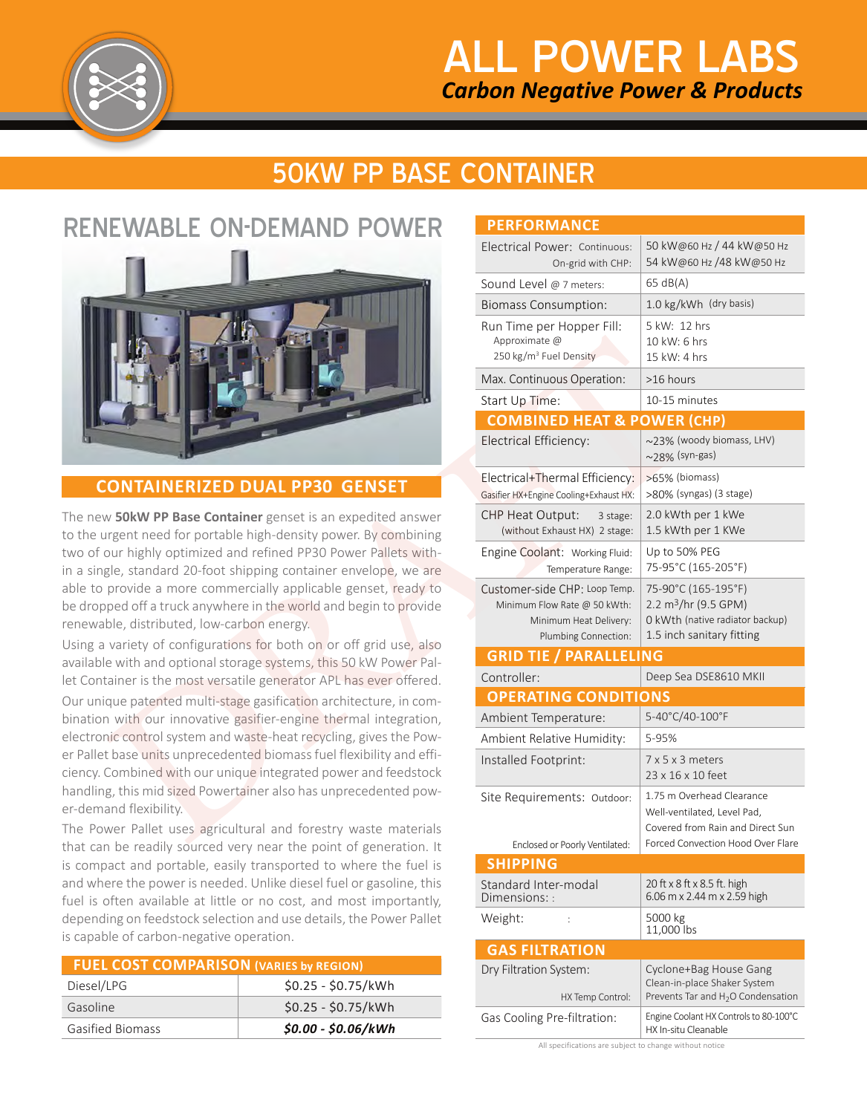

# 50KW PP BASE CONTAINER

## RENEWABLE ON-DEMAND POWER



The new **50kW PP Base Container** genset is an expedited answer to the urgent need for portable high-density power. By combining two of our highly optimized and refined PP30 Power Pallets within a single, standard 20-foot shipping container envelope, we are able to provide a more commercially applicable genset, ready to be dropped off a truck anywhere in the world and begin to provide renewable, distributed, low-carbon energy.

Using a variety of configurations for both on or off grid use, also available with and optional storage systems, this 50 kW Power Pallet Container is the most versatile generator APL has ever offered.

Our unique patented multi-stage gasification architecture, in combination with our innovative gasifier-engine thermal integration, electronic control system and waste-heat recycling, gives the Power Pallet base units unprecedented biomass fuel flexibility and efficiency. Combined with our unique integrated power and feedstock handling, this mid sized Powertainer also has unprecedented power-demand flexibility.

The Power Pallet uses agricultural and forestry waste materials that can be readily sourced very near the point of generation. It is compact and portable, easily transported to where the fuel is and where the power is needed. Unlike diesel fuel or gasoline, this fuel is often available at little or no cost, and most importantly, depending on feedstock selection and use details, the Power Pallet is capable of carbon-negative operation.

| <b>FUEL COST COMPARISON (VARIES by REGION)</b> |                     |  |
|------------------------------------------------|---------------------|--|
| Diesel/LPG                                     | $$0.25 - $0.75/kWh$ |  |
| Gasoline                                       | $$0.25 - $0.75/kWh$ |  |
| <b>Gasified Biomass</b>                        | $$0.00 - $0.06/kWh$ |  |

| NEWABLE ON-DEMAND POWER                                                                                                                                                                                                                                                                                                                                                                                                                                                                                              |                                                                                                                             | <b>PERFORMANCE</b>                                                                                              |                                                                                                                         |  |
|----------------------------------------------------------------------------------------------------------------------------------------------------------------------------------------------------------------------------------------------------------------------------------------------------------------------------------------------------------------------------------------------------------------------------------------------------------------------------------------------------------------------|-----------------------------------------------------------------------------------------------------------------------------|-----------------------------------------------------------------------------------------------------------------|-------------------------------------------------------------------------------------------------------------------------|--|
|                                                                                                                                                                                                                                                                                                                                                                                                                                                                                                                      |                                                                                                                             | Electrical Power: Continuous:<br>On-grid with CHP:                                                              | 50 kW@60 Hz / 44 kW@50 Hz<br>54 kW@60 Hz /48 kW@50 Hz                                                                   |  |
|                                                                                                                                                                                                                                                                                                                                                                                                                                                                                                                      |                                                                                                                             | Sound Level @ 7 meters:                                                                                         | 65 dB(A)                                                                                                                |  |
|                                                                                                                                                                                                                                                                                                                                                                                                                                                                                                                      |                                                                                                                             | <b>Biomass Consumption:</b>                                                                                     | 1.0 kg/kWh (dry basis)                                                                                                  |  |
|                                                                                                                                                                                                                                                                                                                                                                                                                                                                                                                      |                                                                                                                             | Run Time per Hopper Fill:<br>Approximate @<br>250 kg/m <sup>3</sup> Fuel Density                                | 5 kW: 12 hrs<br>10 kW: 6 hrs<br>15 kW: 4 hrs                                                                            |  |
|                                                                                                                                                                                                                                                                                                                                                                                                                                                                                                                      |                                                                                                                             | Max. Continuous Operation:                                                                                      | >16 hours                                                                                                               |  |
|                                                                                                                                                                                                                                                                                                                                                                                                                                                                                                                      |                                                                                                                             | Start Up Time:                                                                                                  | 10-15 minutes                                                                                                           |  |
|                                                                                                                                                                                                                                                                                                                                                                                                                                                                                                                      |                                                                                                                             | <b>COMBINED HEAT &amp; POWER (CHP)</b>                                                                          |                                                                                                                         |  |
|                                                                                                                                                                                                                                                                                                                                                                                                                                                                                                                      |                                                                                                                             | Electrical Efficiency:                                                                                          | ~23% (woody biomass, LHV)<br>$\sim$ 28% (syn-gas)                                                                       |  |
|                                                                                                                                                                                                                                                                                                                                                                                                                                                                                                                      | <b>CONTAINERIZED DUAL PP30 GENSET</b>                                                                                       | Electrical+Thermal Efficiency:<br>Gasifier HX+Engine Cooling+Exhaust HX:                                        | >65% (biomass)<br>>80% (syngas) (3 stage)                                                                               |  |
| ew <b>50kW PP Base Container</b> genset is an expedited answer<br>urgent need for portable high-density power. By combining                                                                                                                                                                                                                                                                                                                                                                                          |                                                                                                                             | CHP Heat Output:<br>3 stage:<br>(without Exhaust HX) 2 stage:                                                   | 2.0 kWth per 1 kWe<br>1.5 kWth per 1 KWe                                                                                |  |
| f our highly optimized and refined PP30 Power Pallets with-<br>ngle, standard 20-foot shipping container envelope, we are<br>o provide a more commercially applicable genset, ready to<br>ppped off a truck anywhere in the world and begin to provide<br>able, distributed, low-carbon energy.<br>a variety of configurations for both on or off grid use, also                                                                                                                                                     |                                                                                                                             | Engine Coolant: Working Fluid:<br>Temperature Range:                                                            | Up to 50% PEG<br>75-95°C (165-205°F)                                                                                    |  |
|                                                                                                                                                                                                                                                                                                                                                                                                                                                                                                                      |                                                                                                                             | Customer-side CHP: Loop Temp.<br>Minimum Flow Rate @ 50 kWth:<br>Minimum Heat Delivery:<br>Plumbing Connection: | 75-90°C (165-195°F)<br>2.2 m <sup>3</sup> /hr (9.5 GPM)<br>0 kWth (native radiator backup)<br>1.5 inch sanitary fitting |  |
|                                                                                                                                                                                                                                                                                                                                                                                                                                                                                                                      | ble with and optional storage systems, this 50 kW Power Pal-                                                                | <b>GRID TIE / PARALLELING</b>                                                                                   |                                                                                                                         |  |
| ntainer is the most versatile generator APL has ever offered.<br>nique patented multi-stage gasification architecture, in com-<br>on with our innovative gasifier-engine thermal integration,<br>onic control system and waste-heat recycling, gives the Pow-                                                                                                                                                                                                                                                        |                                                                                                                             | Controller:                                                                                                     | Deep Sea DSE8610 MKII                                                                                                   |  |
|                                                                                                                                                                                                                                                                                                                                                                                                                                                                                                                      |                                                                                                                             | <b>OPERATING CONDITIONS</b>                                                                                     |                                                                                                                         |  |
|                                                                                                                                                                                                                                                                                                                                                                                                                                                                                                                      |                                                                                                                             | Ambient Temperature:                                                                                            | 5-40°C/40-100°F                                                                                                         |  |
|                                                                                                                                                                                                                                                                                                                                                                                                                                                                                                                      |                                                                                                                             | Ambient Relative Humidity:                                                                                      | 5-95%                                                                                                                   |  |
|                                                                                                                                                                                                                                                                                                                                                                                                                                                                                                                      | et base units unprecedented biomass fuel flexibility and effi-<br>. Combined with our unique integrated power and feedstock | Installed Footprint:                                                                                            | $7 \times 5 \times 3$ meters<br>23 x 16 x 10 feet                                                                       |  |
| ing, this mid sized Powertainer also has unprecedented pow-<br>mand flexibility.<br>ower Pallet uses agricultural and forestry waste materials<br>an be readily sourced very near the point of generation. It<br>apact and portable, easily transported to where the fuel is<br>here the power is needed. Unlike diesel fuel or gasoline, this<br>often available at little or no cost, and most importantly,<br>ding on feedstock selection and use details, the Power Pallet<br>able of carbon-negative operation. |                                                                                                                             | Site Requirements: Outdoor:                                                                                     | 1.75 m Overhead Clearance<br>Well-ventilated, Level Pad,<br>Covered from Rain and Direct Sun                            |  |
|                                                                                                                                                                                                                                                                                                                                                                                                                                                                                                                      |                                                                                                                             | Enclosed or Poorly Ventilated:                                                                                  | Forced Convection Hood Over Flare                                                                                       |  |
|                                                                                                                                                                                                                                                                                                                                                                                                                                                                                                                      |                                                                                                                             | <b>SHIPPING</b>                                                                                                 |                                                                                                                         |  |
|                                                                                                                                                                                                                                                                                                                                                                                                                                                                                                                      |                                                                                                                             | Standard Inter-modal<br>Dimensions: :                                                                           | 20 ft x 8 ft x 8.5 ft. high<br>6.06 m x 2.44 m x 2.59 high                                                              |  |
|                                                                                                                                                                                                                                                                                                                                                                                                                                                                                                                      |                                                                                                                             | Weight:                                                                                                         | 5000 kg<br>11,000 lbs                                                                                                   |  |
| EL COST COMPARISON (VARIES by REGION)                                                                                                                                                                                                                                                                                                                                                                                                                                                                                |                                                                                                                             | <b>GAS FILTRATION</b>                                                                                           |                                                                                                                         |  |
| I/LPG                                                                                                                                                                                                                                                                                                                                                                                                                                                                                                                | \$0.25 - \$0.75/kWh                                                                                                         | Dry Filtration System:                                                                                          | Cyclone+Bag House Gang<br>Clean-in-place Shaker System                                                                  |  |
| line                                                                                                                                                                                                                                                                                                                                                                                                                                                                                                                 | \$0.25 - \$0.75/kWh                                                                                                         | HX Temp Control:                                                                                                | Prevents Tar and H <sub>2</sub> O Condensation                                                                          |  |
| ied Biomass                                                                                                                                                                                                                                                                                                                                                                                                                                                                                                          | \$0.00 - \$0.06/kWh                                                                                                         | Gas Cooling Pre-filtration:                                                                                     | Engine Coolant HX Controls to 80-100°C<br>HX In-situ Cleanable                                                          |  |

All specifications are subject to change without notice